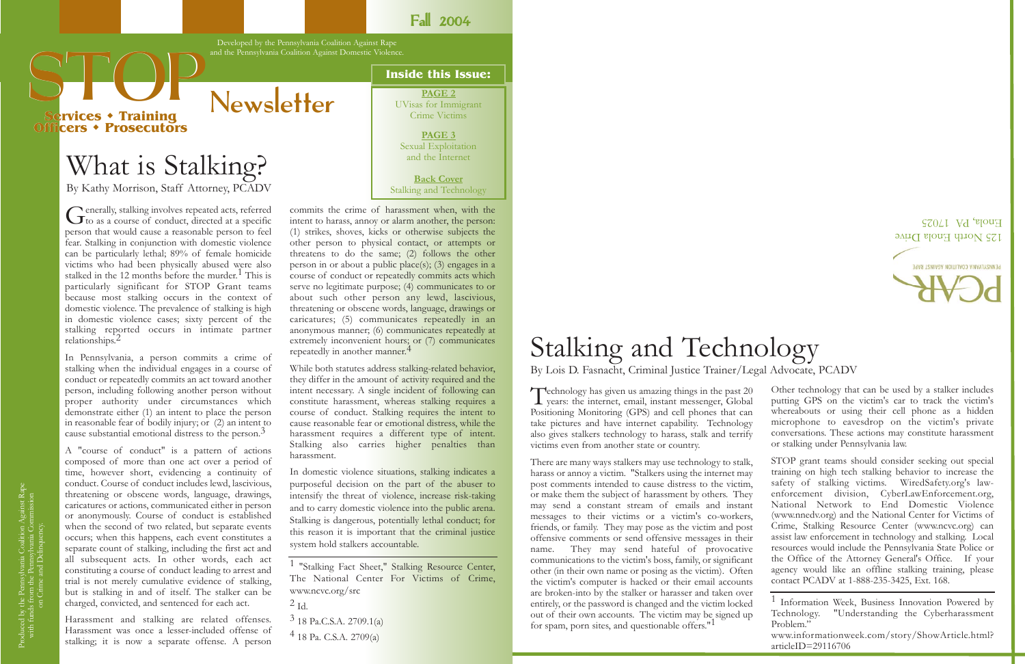**PAGE 2** UVisas for Immigrant Crime Victims

> **PAGE 3** Sexual Exploitation and the Internet

**Back Co ver** Stalking and Technology

### What is Stalking?

By Kathy Morrison, Staff Attorney, PCADV

Generally, stalking involves repeated acts, referred to as a course of conduct, directed at a specific person that would cause a reasonable person to feel fear. Stalking in conjunction with domestic violence can be particularly lethal; 89% of female homicide victims who had been physically abused were also stalked in the 12 months before the murder.<sup>1</sup> This is particularly significant for STOP Grant teams because most stalking occurs in the context of domestic violence. The prevalence of stalking is high in domestic violence cases; sixty percent of the stalking reported occurs in intimate partner relationships. 2

In Pennsylvania, a person commits a crime of stalking when the individual engages in a course of conduct or repeatedly commits an act toward another person, including following another person without proper authority under circumstances which demonstrate either (1) an intent to place the person in reasonable fear of bodily injury; or (2) an intent to cause substantial emotional distress to the person. 3

commits the crime of harassment when, with the intent to harass, annoy or alarm another, the person: (1) strikes, shoves, kicks or otherwise subjects the other person to physical contact, or attempts or threatens to do the same; (2) follows the other person in or about a public place(s); (3) engages in a course of conduct or repeatedly commits acts which serve no legitimate purpose; (4) communicates to or about such other person any lewd, lascivious, threatening or obscene words, language, drawings or caricatures; (5) communicates repeatedly in an anonymous manner; (6) communicates repeatedly at extremely inconvenient hours; or (7) communicates repeatedly in another manner.<sup>4</sup>

A "course of conduct" is a pattern of actions composed of more than one act over a period of time, however short, evidencing a continuity of conduct. Course of conduct includes lewd, lascivious, threatening or obscene words, language, drawings, caricatures or actions, communicated either in person or anonymously. Course of conduct is established when the second of two related, but separate events occurs; when this happens, each event constitutes a separate count of stalking, including the first act and all subsequent acts. In other words, each act constituting a course of conduct leading to arrest and trial is not merely cumulative evidence of stalking, but is stalking in and of itself. The stalker can be charged, convicted, and sentenced for each act.

Harassment and stalking are related offenses. Harassment was once a lesser-included offense of stalking; it is now a separate offense. A person

# **STOP AND A READ AND A READ AND A READ PAGE 2**

<sup>1</sup> Information Week, Business Innovation Powered by Technology. "Understanding the Cyberharassment Problem." www.informationweek.com/story/ShowArticle.html? articleID=29116706

Technology has given us amazing things in the past 20 years: the internet, email, instant messenger, Global Positioning Monitoring (GPS) and cell phones that can take pictures and have internet capability. Technology also gives stalkers technology to harass, stalk and terrify victims even from another state or country.

There are many ways stalkers may use technology to stalk, harass or annoy a victim. "Stalkers using the internet may post comments intended to cause distress to the victim, or make them the subject of harassment by others. They may send a constant stream of emails and instant messages to their victims or a victim's co-workers, friends, or family. They may pose as the victim and post offensive comments or send offensive messages in their name. They may send hateful of provocative communications to the victim's boss, family, or significant other (in their own name or posing as the victim). Often the victim's computer is hacked or their email accounts are broken-into by the stalker or harasser and taken over entirely, or the password is changed and the victim locked out of their own accounts. The victim may be signed up for spam, porn sites, and questionable offers."<sup>1</sup>

While both statutes address stalking-related behavior, they differ in the amount of activity required and the intent necessary. A single incident of following can constitute harassment, whereas stalking requires a course of conduct. Stalking requires the intent to cause reasonable fear or emotional distress, while the harassment requires a different type of intent. Stalking also carries higher penalties than harassment.

In domestic violence situations, stalking indicates a purposeful decision on the part of the abuser to intensify the threat of violence, increase risk-taking and to carry domestic violence into the public arena. Stalking is dangerous, potentially lethal conduct; for this reason it is important that the criminal justice system hold stalkers accountable.

1 "Stalking Fact Sheet," Stalking Resource Center, The National Center For Victims of Crime, www.ncvc.org/src

3 18 Pa.C.S.A. 2709.1(a)

#### Stalking and Technology By Lois D. Fasnacht, Criminal Justice Trainer/Legal Advocate, PCADV

Other technology that can be used by a stalker includes putting GPS on the victim's car to track the victim's whereabouts or using their cell phone as a hidden microphone to eavesdrop on the victim's private conversations. These actions may constitute harassment or stalking under Pennsylvania law.

STOP grant teams should consider seeking out special training on high tech stalking behavior to increase the safety of stalking victims. WiredSafety.org's lawenforcement division, CyberLawEnforcement.org, National Network to End Domestic Violence (www.nnedv.org) and the National Center for Victims of Crime, Stalking Resource Center (www.ncvc.org) can assist law enforcement in technology and stalking. Local resources would include the Pennsylvania State Police or the Office of the Attorney General's Office. If your agency would like an offline stalking training, please contact PCADV at 1-888-235-3425, Ext. 168.



**Fall 2004** 

Developed by the Pennsylvania Coalition Against Rape and the Pennsylvania Coalition Against Domestic Violence.

**Newsletter** 

**Services Services Training Officers Prosecutors Training Officers** 

 $^{2}$  Id.

<sup>4 18</sup> Pa. C.S.A. 2709(a)